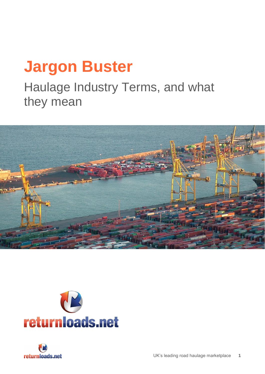# **Jargon Buster**

Haulage Industry Terms, and what they mean





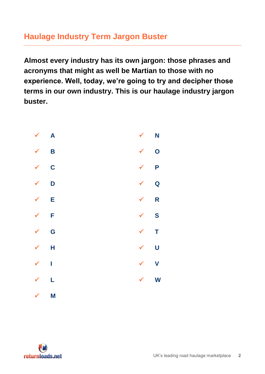# **Haulage Industry Term Jargon Buster**

**Almost every industry has its own jargon: those phrases and acronyms that might as well be Martian to those with no experience. Well, today, we're going to try and decipher those terms in our own industry. This is our haulage industry jargon buster.** 



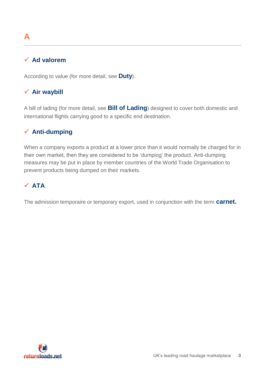## <span id="page-2-0"></span>**Ad valorem**

According to value (for more detail, see **Duty**).

## **Air waybill**

A bill of lading (for more detail, see **Bill of Lading**) designed to cover both domestic and international flights carrying good to a specific end destination.

## **Anti-dumping**

When a company exports a product at a lower price than it would normally be charged for in their own market, then they are considered to be 'dumping' the product. Anti-dumping measures may be put in place by member countries of the World Trade Organisation to prevent products being dumped on their markets.

## **ATA**

The admission temporaire or temporary export, used in conjunction with the term **carnet.**

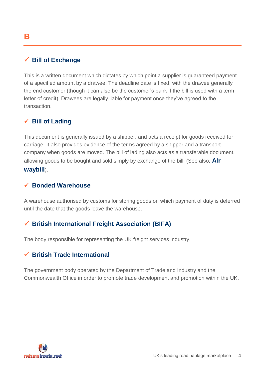### <span id="page-3-0"></span>**Bill of Exchange**

This is a written document which dictates by which point a supplier is guaranteed payment of a specified amount by a drawee. The deadline date is fixed, with the drawee generally the end customer (though it can also be the customer's bank if the bill is used with a term letter of credit). Drawees are legally liable for payment once they've agreed to the transaction.

#### **Bill of Lading**

This document is generally issued by a shipper, and acts a receipt for goods received for carriage. It also provides evidence of the terms agreed by a shipper and a transport company when goods are moved. The bill of lading also acts as a transferable document, allowing goods to be bought and sold simply by exchange of the bill. (See also, **Air waybill**).

#### **Bonded Warehouse**

A warehouse authorised by customs for storing goods on which payment of duty is deferred until the date that the goods leave the warehouse.

#### **British International Freight Association (BIFA)**

The body responsible for representing the UK freight services industry.

#### **British Trade International**

The government body operated by the Department of Trade and Industry and the Commonwealth Office in order to promote trade development and promotion within the UK.

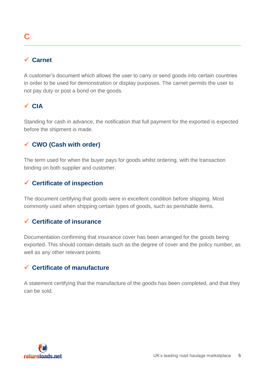# <span id="page-4-0"></span>**C**

#### **Carnet**

A customer's document which allows the user to carry or send goods into certain countries in order to be used for demonstration or display purposes. The carnet permits the user to not pay duty or post a bond on the goods.

#### **CIA**

Standing for cash in advance, the notification that full payment for the exported is expected before the shipment is made.

#### **CWO (Cash with order)**

The term used for when the buyer pays for goods whilst ordering, with the transaction binding on both supplier and customer.

#### **Certificate of inspection**

The document certifying that goods were in excellent condition before shipping. Most commonly used when shipping certain types of goods, such as perishable items.

#### **Certificate of insurance**

Documentation confirming that insurance cover has been arranged for the goods being exported. This should contain details such as the degree of cover and the policy number, as well as any other relevant points.

#### **Certificate of manufacture**

A statement certifying that the manufacture of the goods has been completed, and that they can be sold.

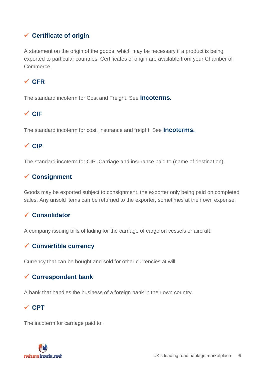## **Certificate of origin**

A statement on the origin of the goods, which may be necessary if a product is being exported to particular countries: Certificates of origin are available from your Chamber of Commerce.

### **CFR**

The standard incoterm for Cost and Freight. See **Incoterms.**

#### **CIF**

The standard incoterm for cost, insurance and freight. See **Incoterms.**

#### **CIP**

The standard incoterm for CIP. Carriage and insurance paid to (name of destination).

#### **Consignment**

Goods may be exported subject to consignment, the exporter only being paid on completed sales. Any unsold items can be returned to the exporter, sometimes at their own expense.

#### **Consolidator**

A company issuing bills of lading for the carriage of cargo on vessels or aircraft.

#### **Convertible currency**

Currency that can be bought and sold for other currencies at will.

#### **Correspondent bank**

A bank that handles the business of a foreign bank in their own country.

#### **CPT**

The incoterm for carriage paid to.

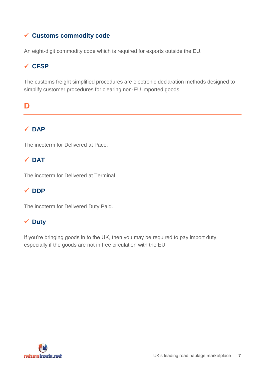## **Customs commodity code**

An eight-digit commodity code which is required for exports outside the EU.

## **CFSP**

The customs freight simplified procedures are electronic declaration methods designed to simplify customer procedures for clearing non-EU imported goods.

## <span id="page-6-0"></span>**D**

## $\sqrt{DAP}$

The incoterm for Delivered at Pace.

## **DAT**

The incoterm for Delivered at Terminal

## **✓ DDP**

The incoterm for Delivered Duty Paid.

## **Duty**

If you're bringing goods in to the UK, then you may be required to pay import duty, especially if the goods are not in free circulation with the EU.

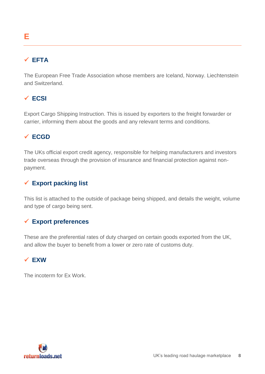# <span id="page-7-0"></span>**E**

## **EFTA**

The European Free Trade Association whose members are Iceland, Norway. Liechtenstein and Switzerland.

## **ECSI**

Export Cargo Shipping Instruction. This is issued by exporters to the freight forwarder or carrier, informing them about the goods and any relevant terms and conditions.

## **ECGD**

The UKs official export credit agency, responsible for helping manufacturers and investors trade overseas through the provision of insurance and financial protection against nonpayment.

#### **Export packing list**

This list is attached to the outside of package being shipped, and details the weight, volume and type of cargo being sent.

#### **Export preferences**

These are the preferential rates of duty charged on certain goods exported from the UK, and allow the buyer to benefit from a lower or zero rate of customs duty.

## **EXW**

The incoterm for Ex Work.

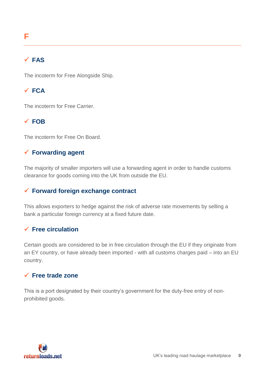## <span id="page-8-0"></span>**FAS**

The incoterm for Free Alongside Ship.

## **FCA**

The incoterm for Free Carrier.

## **FOB**

The incoterm for Free On Board.

## **Forwarding agent**

The majority of smaller importers will use a forwarding agent in order to handle customs clearance for goods coming into the UK from outside the EU.

## **Forward foreign exchange contract**

This allows exporters to hedge against the risk of adverse rate movements by selling a bank a particular foreign currency at a fixed future date.

## **Free circulation**

Certain goods are considered to be in free circulation through the EU if they originate from an EY country, or have already been imported - with all customs charges paid – into an EU country.

## **Free trade zone**

This is a port designated by their country's government for the duty-free entry of nonprohibited goods.

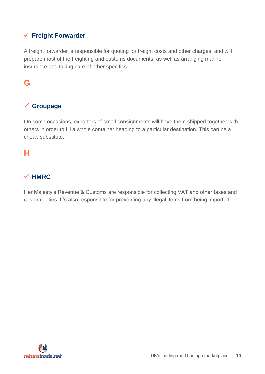## **Freight Forwarder**

A freight forwarder is responsible for quoting for freight costs and other charges, and will prepare most of the freighting and customs documents, as well as arranging marine insurance and taking care of other specifics.

## <span id="page-9-0"></span>**G**

## **Groupage**

On some occasions, exporters of small consignments will have them shipped together with others in order to fill a whole container heading to a particular destination. This can be a cheap substitute.

## <span id="page-9-1"></span>**H**

#### **HMRC**

Her Majesty's Revenue & Customs are responsible for collecting VAT and other taxes and custom duties. It's also responsible for preventing any illegal items from being imported.

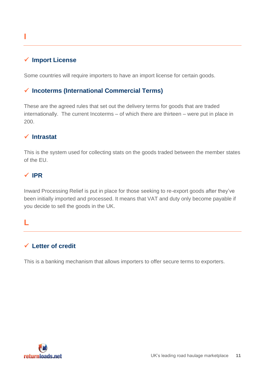## <span id="page-10-0"></span>**I**

#### **Import License**

Some countries will require importers to have an import license for certain goods.

#### **Incoterms (International Commercial Terms)**

These are the agreed rules that set out the delivery terms for goods that are traded internationally. The current Incoterms – of which there are thirteen – were put in place in 200.

#### **Intrastat**

This is the system used for collecting stats on the goods traded between the member states of the EU.

#### **IPR**

Inward Processing Relief is put in place for those seeking to re-export goods after they've been initially imported and processed. It means that VAT and duty only become payable if you decide to sell the goods in the UK.

#### <span id="page-10-1"></span>**L**

#### **Letter of credit**

This is a banking mechanism that allows importers to offer secure terms to exporters.

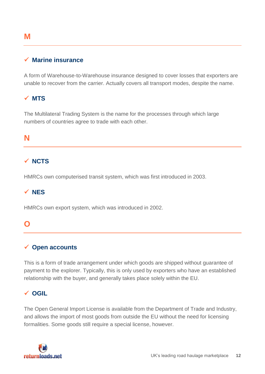## <span id="page-11-2"></span>**M**

#### **Marine insurance**

A form of Warehouse-to-Warehouse insurance designed to cover losses that exporters are unable to recover from the carrier. Actually covers all transport modes, despite the name.

#### **MTS**

The Multilateral Trading System is the name for the processes through which large numbers of countries agree to trade with each other.

#### <span id="page-11-0"></span>**N**

#### **NCTS**

HMRCs own computerised transit system, which was first introduced in 2003.

#### **NES**

HMRCs own export system, which was introduced in 2002.

#### <span id="page-11-1"></span>**O**

#### **Open accounts**

This is a form of trade arrangement under which goods are shipped without guarantee of payment to the explorer. Typically, this is only used by exporters who have an established relationship with the buyer, and generally takes place solely within the EU.

#### **OGIL**

The Open General Import License is available from the Department of Trade and Industry, and allows the import of most goods from outside the EU without the need for licensing formalities. Some goods still require a special license, however.

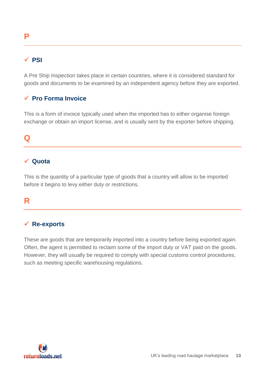## <span id="page-12-0"></span>**P**

#### **PSI**

A Pre Ship Inspection takes place in certain countries, where it is considered standard for goods and documents to be examined by an independent agency before they are exported.

#### **Pro Forma Invoice**

This is a form of invoice typically used when the imported has to either organise foreign exchange or obtain an import license, and is usually sent by the exporter before shipping.

#### <span id="page-12-1"></span>**Q**

#### **Quota**

This is the quantity of a particular type of goods that a country will allow to be imported before it begins to levy either duty or restrictions.

## <span id="page-12-2"></span>**R**

#### **Re-exports**

These are goods that are temporarily imported into a country before being exported again. Often, the agent is permitted to reclaim some of the import duty or VAT paid on the goods. However, they will usually be required to comply with special customs control procedures, such as meeting specific warehousing regulations.

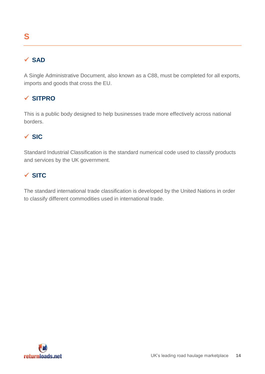## <span id="page-13-0"></span>**SAD**

A Single Administrative Document, also known as a C88, must be completed for all exports, imports and goods that cross the EU.

## **SITPRO**

This is a public body designed to help businesses trade more effectively across national borders.

## **SIC**

Standard Industrial Classification is the standard numerical code used to classify products and services by the UK government.

## **SITC**

The standard international trade classification is developed by the United Nations in order to classify different commodities used in international trade.

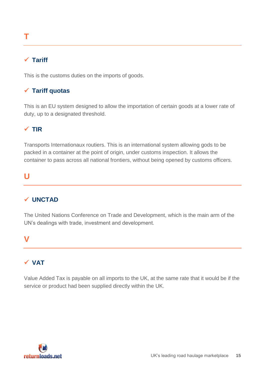# <span id="page-14-0"></span>**T**

#### **Tariff**

This is the customs duties on the imports of goods.

## **Tariff quotas**

This is an EU system designed to allow the importation of certain goods at a lower rate of duty, up to a designated threshold.

#### **TIR**

Transports Internationaux routiers. This is an international system allowing gods to be packed in a container at the point of origin, under customs inspection. It allows the container to pass across all national frontiers, without being opened by customs officers.

## <span id="page-14-1"></span>**U**

## **UNCTAD**

The United Nations Conference on Trade and Development, which is the main arm of the UN's dealings with trade, investment and development.

## <span id="page-14-2"></span>**V**

## **VAT**

Value Added Tax is payable on all imports to the UK, at the same rate that it would be if the service or product had been supplied directly within the UK.

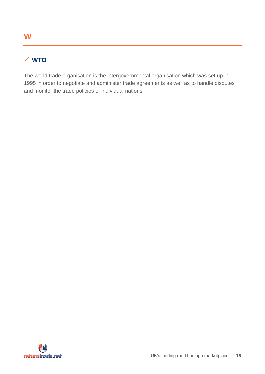## <span id="page-15-0"></span>**WTO**

The world trade organisation is the intergovernmental organisation which was set up in 1995 in order to negotiate and administer trade agreements as well as to handle disputes and monitor the trade policies of individual nations.